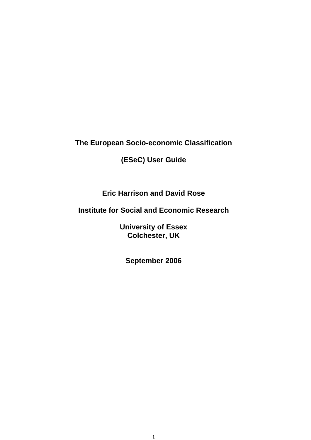**The European Socio-economic Classification** 

**(ESeC) User Guide** 

**Eric Harrison and David Rose** 

**Institute for Social and Economic Research** 

**University of Essex Colchester, UK** 

**September 2006**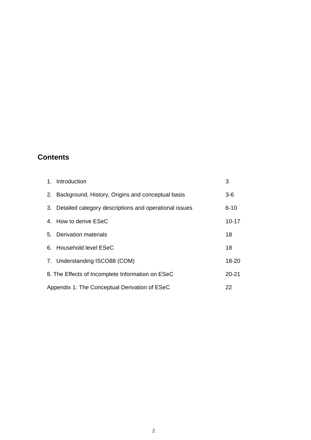# **Contents**

| 1. Introduction                                          | 3         |
|----------------------------------------------------------|-----------|
| 2. Background, History, Origins and conceptual basis     | $3-6$     |
| 3. Detailed category descriptions and operational issues | $6 - 10$  |
| 4. How to derive ESeC                                    | $10 - 17$ |
| 5. Derivation materials                                  | 18        |
| 6. Household level ESeC                                  | 18        |
| 7. Understanding ISCO88 (COM)                            | 18-20     |
| 8. The Effects of Incomplete Information on ESeC         | $20 - 21$ |
| Appendix 1: The Conceptual Derivation of ESeC            | 22        |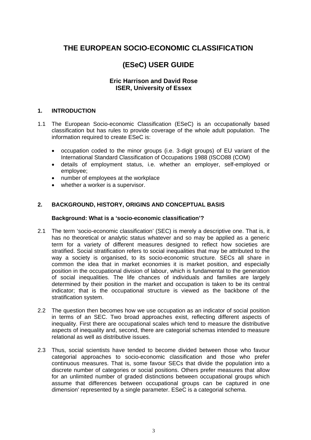# **THE EUROPEAN SOCIO-ECONOMIC CLASSIFICATION**

# **(ESeC) USER GUIDE**

# **Eric Harrison and David Rose ISER, University of Essex**

# **1. INTRODUCTION**

- 1.1 The European Socio-economic Classification (ESeC) is an occupationally based classification but has rules to provide coverage of the whole adult population. The information required to create ESeC is:
	- occupation coded to the minor groups (i.e. 3-digit groups) of EU variant of the International Standard Classification of Occupations 1988 (ISCO88 (COM)
	- details of employment status, i.e. whether an employer, self-employed or employee;
	- number of employees at the workplace
	- whether a worker is a supervisor.

# **2. BACKGROUND, HISTORY, ORIGINS AND CONCEPTUAL BASIS**

#### **Background: What is a 'socio-economic classification'?**

- 2.1 The term 'socio-economic classification' (SEC) is merely a descriptive one. That is, it has no theoretical or analytic status whatever and so may be applied as a generic term for a variety of different measures designed to reflect how societies are stratified. Social stratification refers to social inequalities that may be attributed to the way a society is organised, to its socio-economic structure. SECs all share in common the idea that in market economies it is market position, and especially position in the occupational division of labour, which is fundamental to the generation of social inequalities. The life chances of individuals and families are largely determined by their position in the market and occupation is taken to be its central indicator; that is the occupational structure is viewed as the backbone of the stratification system.
- 2.2 The question then becomes how we use occupation as an indicator of social position in terms of an SEC. Two broad approaches exist, reflecting different aspects of inequality. First there are occupational scales which tend to measure the distributive aspects of inequality and, second, there are categorial schemas intended to measure relational as well as distributive issues.
- 2.3 Thus, social scientists have tended to become divided between those who favour categorial approaches to socio-economic classification and those who prefer continuous measures. That is, some favour SECs that divide the population into a discrete number of categories or social positions. Others prefer measures that allow for an unlimited number of graded distinctions between occupational groups which assume that differences between occupational groups can be captured in one dimension' represented by a single parameter. ESeC is a categorial schema.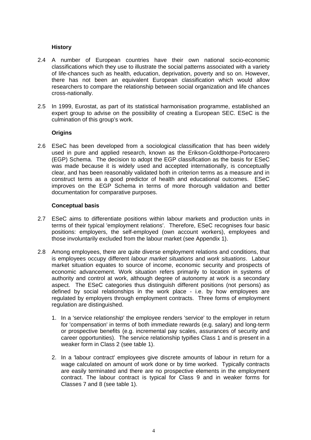# **History**

- 2.4 A number of European countries have their own national socio-economic classifications which they use to illustrate the social patterns associated with a variety of life-chances such as health, education, deprivation, poverty and so on. However, there has not been an equivalent European classification which would allow researchers to compare the relationship between social organization and life chances cross-nationally.
- 2.5 In 1999, Eurostat, as part of its statistical harmonisation programme, established an expert group to advise on the possibility of creating a European SEC. ESeC is the culmination of this group's work.

# **Origins**

2.6 ESeC has been developed from a sociological classification that has been widely used in pure and applied research, known as the Erikson-Goldthorpe-Portocarero (EGP) Schema. The decision to adopt the EGP classification as the basis for ESeC was made because it is widely used and accepted internationally, is conceptually clear, and has been reasonably validated both in criterion terms as a measure and in construct terms as a good predictor of health and educational outcomes. ESeC improves on the EGP Schema in terms of more thorough validation and better documentation for comparative purposes.

#### **Conceptual basis**

- 2.7 ESeC aims to differentiate positions within labour markets and production units in terms of their typical 'employment relations'. Therefore, ESeC recognises four basic positions: employers, the self-employed (own account workers), employees and those involuntarily excluded from the labour market (see Appendix 1).
- 2.8 Among employees, there are quite diverse employment relations and conditions, that is employees occupy different *labour market situations* and *work situations*. Labour market situation equates to source of income, economic security and prospects of economic advancement. Work situation refers primarily to location in systems of authority and control at work, although degree of autonomy at work is a secondary aspect. The ESeC categories thus distinguish different positions (not persons) as defined by social relationships in the work place - i.e. by how employees are regulated by employers through employment contracts. Three forms of employment regulation are distinguished.
	- 1. In a 'service relationship' the employee renders 'service' to the employer in return for 'compensation' in terms of both immediate rewards (e.g. salary) and long-term or prospective benefits (e.g. incremental pay scales, assurances of security and career opportunities). The service relationship typifies Class 1 and is present in a weaker form in Class 2 (see table 1).
	- 2. In a 'labour contract' employees give discrete amounts of labour in return for a wage calculated on amount of work done or by time worked. Typically contracts are easily terminated and there are no prospective elements in the employment contract. The labour contract is typical for Class 9 and in weaker forms for Classes 7 and 8 (see table 1).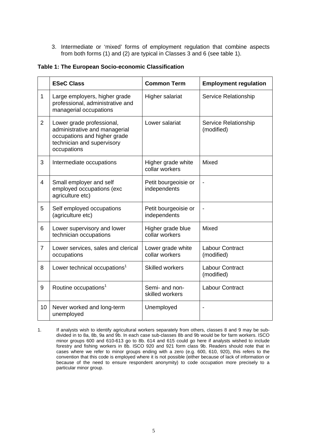3. Intermediate or 'mixed' forms of employment regulation that combine aspects from both forms (1) and (2) are typical in Classes 3 and 6 (see table 1).

| Table 1: The European Socio-economic Classification |
|-----------------------------------------------------|
|-----------------------------------------------------|

|                | <b>ESeC Class</b>                                                                                                                       | <b>Common Term</b>                   | <b>Employment regulation</b>              |  |  |
|----------------|-----------------------------------------------------------------------------------------------------------------------------------------|--------------------------------------|-------------------------------------------|--|--|
| 1              | Large employers, higher grade<br>professional, administrative and<br>managerial occupations                                             | <b>Higher salariat</b>               | Service Relationship                      |  |  |
| $\overline{2}$ | Lower grade professional,<br>administrative and managerial<br>occupations and higher grade<br>technician and supervisory<br>occupations | Lower salariat                       | <b>Service Relationship</b><br>(modified) |  |  |
| 3              | Intermediate occupations                                                                                                                | Higher grade white<br>collar workers | Mixed                                     |  |  |
| $\overline{4}$ | Small employer and self<br>employed occupations (exc<br>agriculture etc)                                                                | Petit bourgeoisie or<br>independents | $\overline{a}$                            |  |  |
| 5              | Self employed occupations<br>(agriculture etc)                                                                                          | Petit bourgeoisie or<br>independents |                                           |  |  |
| 6              | Lower supervisory and lower<br>technician occupations                                                                                   | Higher grade blue<br>collar workers  | Mixed                                     |  |  |
| $\overline{7}$ | Lower services, sales and clerical<br>occupations                                                                                       | Lower grade white<br>collar workers  | <b>Labour Contract</b><br>(modified)      |  |  |
| 8              | Lower technical occupations <sup>1</sup>                                                                                                | <b>Skilled workers</b>               | Labour Contract<br>(modified)             |  |  |
| 9              | Routine occupations <sup>1</sup>                                                                                                        | Semi- and non-<br>skilled workers    | <b>Labour Contract</b>                    |  |  |
| 10             | Never worked and long-term<br>unemployed                                                                                                | Unemployed                           |                                           |  |  |

<sup>1.</sup> If analysts wish to identify agricultural workers separately from others, classes 8 and 9 may be subdivided in to 8a, 8b, 9a and 9b. In each case sub-classes 8b and 9b would be for farm workers. ISCO minor groups 600 and 610-613 go to 8b. 614 and 615 could go here if analysts wished to include forestry and fishing workers in 8b. ISCO 920 and 921 form class 9b. Readers should note that in cases where we refer to minor groups ending with a zero (e.g. 600, 610, 920), this refers to the convention that this code is employed where it is not possible (either because of lack of information or because of the need to ensure respondent anonymity) to code occupation more precisely to a particular minor group.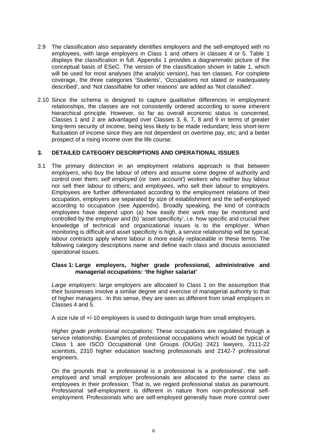- 2.9 The classification also separately identifies employers and the self-employed with no employees, with large employers in Class 1 and others in classes 4 or 5. Table 1 displays the classification in full. Appendix 1 provides a diagrammatic picture of the conceptual basis of ESeC. The version of the classification shown in table 1, which will be used for most analyses (the analytic version), has ten classes. For complete coverage, the three categories 'Students', 'Occupations not stated or inadequately described', and 'Not classifiable for other reasons' are added as 'Not classified'.
- 2.10 Since the schema is designed to capture *qualitative* differences in employment relationships, the classes are not consistently ordered according to some inherent hierarchical principle. However, so far as overall economic status is concerned, Classes 1 and 2 are advantaged over Classes 3, 6, 7, 8 and 9 in terms of greater long-term security of income, being less likely to be made redundant; less short-term fluctuation of income since they are not dependent on overtime pay, etc; and a better prospect of a rising income over the life course.

# **3. DETAILED CATEGORY DESCRIPTIONS AND OPERATIONAL ISSUES**

3.1 The primary distinction in an employment relations approach is that between *employers*, who buy the labour of others and assume some degree of authority and control over them; *self employed* (or *'own account'*) *workers* who neither buy labour nor sell their labour to others; and *employees*, who sell their labour to employers. Employees are further differentiated according to the employment relations of their occupation, employers are separated by size of establishment and the self-employed according to occupation (see Appendix). Broadly speaking, the kind of contracts employees have depend upon (a) how easily their work may be monitored and controlled by the employer and (b) 'asset specificity', i.e. how specific and crucial their knowledge of technical and organizational issues is to the employer. When monitoring is difficult and asset specificity is high, a service relationship will be typical; labour contracts apply where labour is more easily replaceable in these terms. The following category descriptions name and define each class and discuss associated operational issues.

#### **Class 1: Large employers, higher grade professional, administrative and managerial occupations: 'the higher salariat'**

*Large employers*: large employers are allocated to Class 1 on the assumption that their businesses involve a similar degree and exercise of managerial authority to that of higher managers. In this sense, they are seen as different from small employers in Classes 4 and 5.

A size rule of +/-10 employees is used to distinguish large from small employers.

*Higher grade professional occupations*: These occupations are regulated through a service relationship. Examples of professional occupations which would be typical of Class 1 are ISCO Occupational Unit Groups (OUGs) 2421 lawyers, 2111-22 scientists, 2310 higher education teaching professionals and 2142-7 professional engineers.

On the grounds that 'a professional is a professional is a professional', the selfemployed and small employer professionals are allocated to the same class as employees in their profession. That is, we regard professional status as paramount. Professional self-employment is different in nature from non-professional selfemployment. Professionals who are self-employed generally have more control over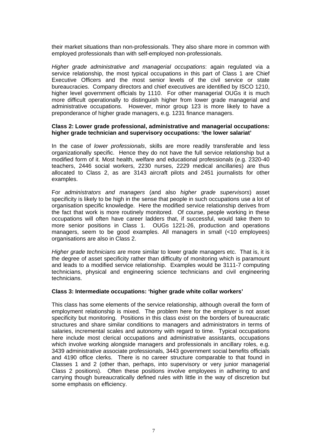their market situations than non-professionals. They also share more in common with employed professionals than with self-employed non-professionals.

*Higher grade administrative and managerial occupations*: again regulated via a service relationship, the most typical occupations in this part of Class 1 are Chief Executive Officers and the most senior levels of the civil service or state bureaucracies. Company directors and chief executives are identified by ISCO 1210, higher level government officials by 1110. For other managerial OUGs it is much more difficult operationally to distinguish higher from lower grade managerial and administrative occupations. However, minor group 123 is more likely to have a preponderance of higher grade managers, e.g. 1231 finance managers.

#### **Class 2: Lower grade professional, administrative and managerial occupations: higher grade technician and supervisory occupations: 'the lower salariat'**

In the case of *lower professionals*, skills are more readily transferable and less organizationally specific. Hence they do not have the full service relationship but a modified form of it. Most health, welfare and educational professionals (e.g. 2320-40 teachers, 2446 social workers, 2230 nurses, 2229 medical ancillaries) are thus allocated to Class 2, as are 3143 aircraft pilots and 2451 journalists for other examples.

For *administrators and managers* (and also *higher grade supervisors*) asset specificity is likely to be high in the sense that people in such occupations use a lot of organisation specific knowledge. Here the modified service relationship derives from the fact that work is more routinely monitored. Of course, people working in these occupations will often have career ladders that, if successful, would take them to more senior positions in Class 1. OUGs 1221-26, production and operations managers, seem to be good examples. All managers in small (<10 employees) organisations are also in Class 2.

*Higher grade technicians* are more similar to lower grade managers etc. That is, it is the degree of asset specificity rather than difficulty of monitoring which is paramount and leads to a modified service relationship. Examples would be 3111-7 computing technicians, physical and engineering science technicians and civil engineering technicians.

#### **Class 3: Intermediate occupations: 'higher grade white collar workers'**

This class has some elements of the service relationship, although overall the form of employment relationship is mixed. The problem here for the employer is not asset specificity but monitoring. Positions in this class exist on the borders of bureaucratic structures and share similar conditions to managers and administrators in terms of salaries, incremental scales and autonomy with regard to time. Typical occupations here include most clerical occupations and administrative assistants, occupations which involve working alongside managers and professionals in ancillary roles, e.g. 3439 administrative associate professionals, 3443 government social benefits officials and 4190 office clerks. There is no career structure comparable to that found in Classes 1 and 2 (other than, perhaps, into supervisory or very junior managerial Class 2 positions). Often these positions involve employees in adhering to and carrying though bureaucratically defined rules with little in the way of discretion but some emphasis on efficiency.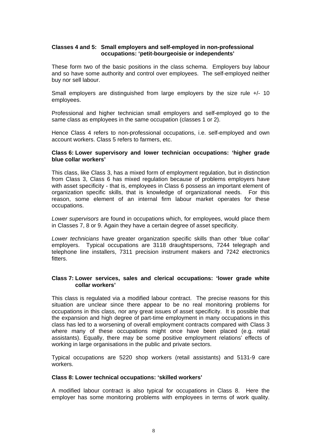# **Classes 4 and 5: Small employers and self-employed in non-professional occupations: 'petit-bourgeoisie or independents'**

These form two of the basic positions in the class schema. Employers buy labour and so have some authority and control over employees. The self-employed neither buy nor sell labour.

Small employers are distinguished from large employers by the size rule  $+/- 10$ employees.

Professional and higher technician small employers and self-employed go to the same class as employees in the same occupation (classes 1 or 2).

Hence Class 4 refers to non-professional occupations, i.e. self-employed and own account workers. Class 5 refers to farmers, etc.

#### **Class 6: Lower supervisory and lower technician occupations: 'higher grade blue collar workers'**

This class, like Class 3, has a mixed form of employment regulation, but in distinction from Class 3, Class 6 has mixed regulation because of problems employers have with asset specificity - that is, employees in Class 6 possess an important element of organization specific skills, that is knowledge of organizational needs. For this reason, some element of an internal firm labour market operates for these occupations.

*Lower supervisors* are found in occupations which, for employees, would place them in Classes 7, 8 or 9. Again they have a certain degree of asset specificity.

*Lower technicians* have greater organization specific skills than other 'blue collar' employers. Typical occupations are 3118 draughtspersons, 7244 telegraph and telephone line installers, 7311 precision instrument makers and 7242 electronics fitters.

#### **Class 7: Lower services, sales and clerical occupations: 'lower grade white collar workers'**

This class is regulated via a modified labour contract. The precise reasons for this situation are unclear since there appear to be no real monitoring problems for occupations in this class, nor any great issues of asset specificity. It is possible that the expansion and high degree of part-time employment in many occupations in this class has led to a worsening of overall employment contracts compared with Class 3 where many of these occupations might once have been placed (e.g. retail assistants). Equally, there may be some positive employment relations' effects of working in large organisations in the public and private sectors.

Typical occupations are 5220 shop workers (retail assistants) and 5131-9 care workers.

#### **Class 8: Lower technical occupations: 'skilled workers'**

A modified labour contract is also typical for occupations in Class 8. Here the employer has some monitoring problems with employees in terms of work quality.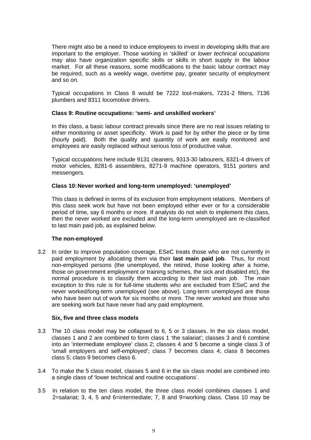There might also be a need to induce employees to invest in developing skills that are important to the employer. Those working in 'skilled' or *lower technical occupations* may also have organization specific skills or skills in short supply in the labour market. For all these reasons, some modifications to the basic labour contract may be required, such as a weekly wage, overtime pay, greater security of employment and so on.

Typical occupations in Class 8 would be 7222 tool-makers, 7231-2 fitters, 7136 plumbers and 8311 locomotive drivers.

#### **Class 9: Routine occupations: 'semi- and unskilled workers'**

In this class, a basic labour contract prevails since there are no real issues relating to either monitoring or asset specificity. Work is paid for by either the piece or by time (hourly paid). Both the quality and quantity of work are easily monitored and employees are easily replaced without serious loss of productive value.

Typical occupations here include 9131 cleaners, 9313-30 labourers, 8321-4 drivers of motor vehicles, 8281-6 assemblers, 8271-9 machine operators, 9151 porters and messengers.

#### **Class 10: Never worked and long-term unemployed: 'unemployed'**

This class is defined in terms of its exclusion from employment relations. Members of this class seek work but have not been employed either ever or for a considerable period of time, say 6 months or more. If analysts do not wish to implement this class, then the never worked are excluded and the long-term unemployed are re-classified to last main paid job, as explained below.

#### **The non-employed**

3.2 In order to improve population coverage, ESeC treats those who are not currently in paid employment by allocating them via their **last main paid job**. Thus, for most non-employed persons (the unemployed, the retired, those looking after a home, those on government employment or training schemes, the sick and disabled etc), the normal procedure is to classify them according to their last main job. The main exception to this rule is for full-time students who are excluded from ESeC and the never worked/long-term unemployed (see above). Long-term unemployed are those who have been out of work for six months or more. The never worked are those who are seeking work but have never had any paid employment.

#### **Six, five and three class models**

- 3.3 The 10 class model may be collapsed to 6, 5 or 3 classes. In the six class model, classes 1 and 2 are combined to form class 1 'the salariat'; classes 3 and 6 combine into an 'intermediate employee' class 2; classes 4 and 5 become a single class 3 of 'small employers and self-employed'; class 7 becomes class 4; class 8 becomes class 5; class 9 becomes class 6.
- 3.4 To make the 5 class model, classes 5 and 6 in the six class model are combined into a single class of 'lower technical and routine occupations'.
- 3.5 In relation to the ten class model, the three class model combines classes 1 and 2=salariat; 3, 4, 5 and 6=intermediate; 7, 8 and 9=working class. Class 10 may be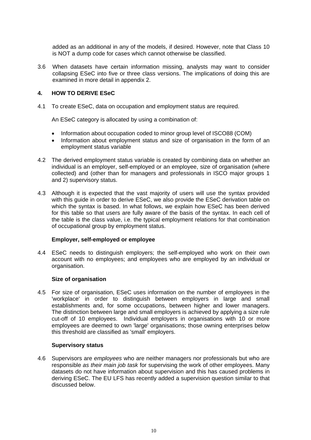added as an additional in any of the models, if desired. However, note that Class 10 is NOT a dump code for cases which cannot otherwise be classified.

3.6 When datasets have certain information missing, analysts may want to consider collapsing ESeC into five or three class versions. The implications of doing this are examined in more detail in appendix 2.

# **4. HOW TO DERIVE ESeC**

4.1 To create ESeC, data on occupation and employment status are required.

An ESeC category is allocated by using a combination of:

- Information about occupation coded to minor group level of ISCO88 (COM)
- Information about employment status and size of organisation in the form of an employment status variable
- 4.2 The derived employment status variable is created by combining data on whether an individual is an employer, self-employed or an employee, size of organisation (where collected) and (other than for managers and professionals in ISCO major groups 1 and 2) supervisory status.
- 4.3 Although it is expected that the vast majority of users will use the syntax provided with this guide in order to derive ESeC, we also provide the ESeC derivation table on which the syntax is based. In what follows, we explain how ESeC has been derived for this table so that users are fully aware of the basis of the syntax. In each cell of the table is the class value, i.e. the typical employment relations for that combination of occupational group by employment status.

#### **Employer, self-employed or employee**

4.4 ESeC needs to distinguish employers; the self-employed who work on their own account with no employees; and employees who are employed by an individual or organisation.

#### **Size of organisation**

4.5 For size of organisation, ESeC uses information on the number of employees in the 'workplace' in order to distinguish between employers in large and small establishments and, for some occupations, between higher and lower managers. The distinction between large and small employers is achieved by applying a size rule cut-off of 10 employees. Individual employers in organisations with 10 or more employees are deemed to own 'large' organisations; those owning enterprises below this threshold are classified as 'small' employers.

#### **Supervisory status**

4.6 Supervisors are *employees* who are neither managers nor professionals but who are responsible *as their main job task* for supervising the work of other employees. Many datasets do not have information about supervision and this has caused problems in deriving ESeC. The EU LFS has recently added a supervision question similar to that discussed below.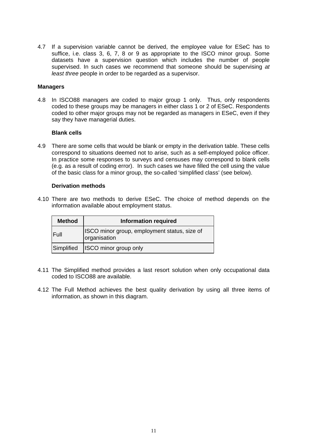4.7 If a supervision variable cannot be derived, the employee value for ESeC has to suffice, i.e. class 3, 6, 7, 8 or 9 as appropriate to the ISCO minor group. Some datasets have a supervision question which includes the number of people supervised. In such cases we recommend that someone should be supervising *at least three* people in order to be regarded as a supervisor.

#### **Managers**

4.8 In ISCO88 managers are coded to major group 1 only. Thus, only respondents coded to these groups may be managers in either class 1 or 2 of ESeC. Respondents coded to other major groups may not be regarded as managers in ESeC, even if they say they have managerial duties.

#### **Blank cells**

4.9 There are some cells that would be blank or empty in the derivation table. These cells correspond to situations deemed not to arise, such as a self-employed police officer. In practice some responses to surveys and censuses may correspond to blank cells (e.g. as a result of coding error). In such cases we have filled the cell using the value of the basic class for a minor group, the so-called 'simplified class' (see below).

# **Derivation methods**

4.10 There are two methods to derive ESeC. The choice of method depends on the information available about employment status.

| <b>Method</b> | <b>Information required</b>                                  |  |  |  |  |  |
|---------------|--------------------------------------------------------------|--|--|--|--|--|
| Full          | ISCO minor group, employment status, size of<br>organisation |  |  |  |  |  |
| Simplified    | <b>ISCO</b> minor group only                                 |  |  |  |  |  |

- 4.11 The Simplified method provides a last resort solution when only occupational data coded to ISCO88 are available.
- 4.12 The Full Method achieves the best quality derivation by using all three items of information, as shown in this diagram.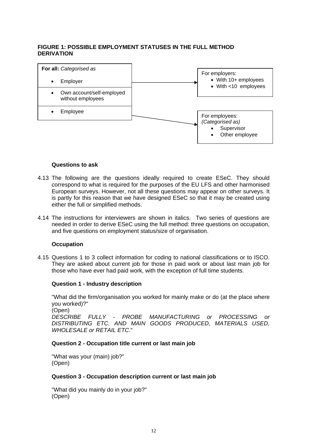# **FIGURE 1: POSSIBLE EMPLOYMENT STATUSES IN THE FULL METHOD DERIVATION**



#### **Questions to ask**

- 4.13 The following are the questions ideally required to create ESeC. They should correspond to what is required for the purposes of the EU LFS and other harmonised European surveys. However, not all these questions may appear on other surveys. It is partly for this reason that we have designed ESeC so that it may be created using either the full or simplified methods.
- 4.14 The instructions for interviewers are shown in italics. Two series of questions are needed in order to derive ESeC using the full method: three questions on occupation, and five questions on employment status/size of organisation.

#### **Occupation**

4.15 Questions 1 to 3 collect information for coding to national classifications or to ISCO. They are asked about current job for those in paid work or about last main job for those who have ever had paid work, with the exception of full time students.

#### **Question 1 - Industry description**

"What did the firm/organisation you worked for mainly make or do (at the place where you worked)?"

(Open)

*DESCRIBE FULLY - PROBE MANUFACTURING or PROCESSING or DISTRIBUTING ETC. AND MAIN GOODS PRODUCED, MATERIALS USED, WHOLESALE or RETAIL ETC*."

# **Question 2 - Occupation title current or last main job**

"What was your (main) job?" (Open)

#### **Question 3 - Occupation description current or last main job**

"What did you mainly do in your job?" (Open)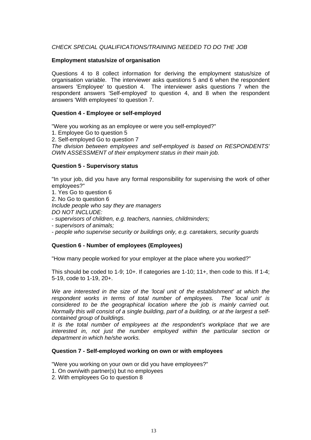# *CHECK SPECIAL QUALIFICATIONS/TRAINING NEEDED TO DO THE JOB*

#### **Employment status/size of organisation**

Questions 4 to 8 collect information for deriving the employment status/size of organisation variable. The interviewer asks questions 5 and 6 when the respondent answers 'Employee' to question 4. The interviewer asks questions 7 when the respondent answers 'Self-employed' to question 4, and 8 when the respondent answers 'With employees' to question 7.

#### **Question 4 - Employee or self-employed**

"Were you working as an employee or were you self-employed?"

1. Employee Go to question 5

2. Self-employed Go to question 7

*The division between employees and self-employed is based on RESPONDENTS' OWN ASSESSMENT of their employment status in their main job.* 

#### **Question 5 - Supervisory status**

"In your job, did you have any formal responsibility for supervising the work of other employees?"

1. Yes Go to question 6 2. No Go to question 6 *Include people who say they are managers DO NOT INCLUDE:* - *supervisors of children, e.g. teachers, nannies, childminders;*

- *supervisors of animals;*

- *people who supervise security or buildings only, e.g. caretakers, security guards* 

# **Question 6 - Number of employees (Employees)**

"How many people worked for your employer at the place where you worked?"

This should be coded to 1-9; 10+. If categories are 1-10; 11+, then code to this. If 1-4; 5-19, code to 1-19, 20+.

*We are interested in the size of the 'local unit of the establishment' at which the respondent works in terms of total number of employees. The 'local unit' is considered to be the geographical location where the job is mainly carried out. Normally this will consist of a single building, part of a building, or at the largest a selfcontained group of buildings.*

*It is the total number of employees at the respondent's workplace that we are interested in, not just the number employed within the particular section or department in which he/she works.*

# **Question 7 - Self-employed working on own or with employees**

"Were you working on your own or did you have employees?"

- 1. On own/with partner(s) but no employees
- 2. With employees Go to question 8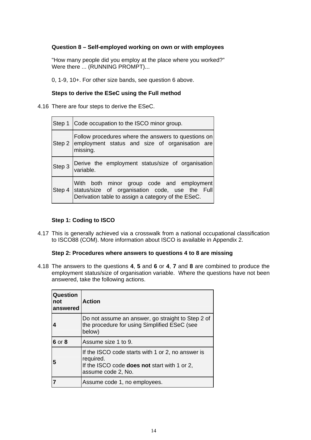# **Question 8 – Self-employed working on own or with employees**

"How many people did you employ at the place where you worked?" Were there ... (RUNNING PROMPT)...

0, 1-9, 10+. For other size bands, see question 6 above.

# **Steps to derive the ESeC using the Full method**

4.16 There are four steps to derive the ESeC.

|        | Step 1 Code occupation to the ISCO minor group.                                                                                                   |  |  |  |  |  |
|--------|---------------------------------------------------------------------------------------------------------------------------------------------------|--|--|--|--|--|
|        | Follow procedures where the answers to questions on<br>Step 2 employment status and size of organisation are<br>missing.                          |  |  |  |  |  |
|        | Step 3 Derive the employment status/size of organisation<br>variable.                                                                             |  |  |  |  |  |
| Step 4 | With both minor group code and employment<br>status/size of organisation code, use the Full<br>Derivation table to assign a category of the ESeC. |  |  |  |  |  |

# **Step 1: Coding to ISCO**

4.17 This is generally achieved via a crosswalk from a national occupational classification to ISCO88 (COM). More information about ISCO is available in Appendix 2.

#### **Step 2: Procedures where answers to questions 4 to 8 are missing**

4.18 The answers to the questions **4**, **5** and **6** or **4**, **7** and **8** are combined to produce the employment status/size of organisation variable. Where the questions have not been answered, take the following actions.

| Question<br>not<br>answered | <b>Action</b>                                                                                                                        |
|-----------------------------|--------------------------------------------------------------------------------------------------------------------------------------|
|                             | Do not assume an answer, go straight to Step 2 of<br>the procedure for using Simplified ESeC (see<br>below)                          |
| 6 or 8                      | Assume size 1 to 9.                                                                                                                  |
| 5                           | If the ISCO code starts with 1 or 2, no answer is<br>required.<br>If the ISCO code does not start with 1 or 2,<br>assume code 2, No. |
|                             | Assume code 1, no employees.                                                                                                         |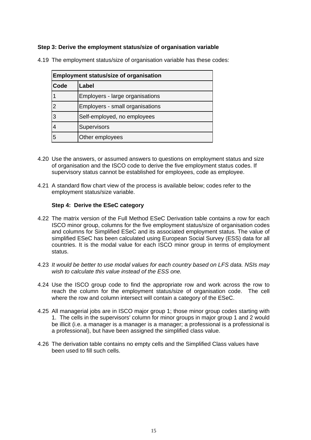# **Step 3: Derive the employment status/size of organisation variable**

| <b>Employment status/size of organisation</b> |                                 |  |  |  |  |  |
|-----------------------------------------------|---------------------------------|--|--|--|--|--|
| Code                                          | Label                           |  |  |  |  |  |
|                                               | Employers - large organisations |  |  |  |  |  |
| າ                                             | Employers - small organisations |  |  |  |  |  |
| 3                                             | Self-employed, no employees     |  |  |  |  |  |
| 4                                             | Supervisors                     |  |  |  |  |  |
| 5                                             | Other employees                 |  |  |  |  |  |

4.19 The employment status/size of organisation variable has these codes:

- 4.20 Use the answers, or assumed answers to questions on employment status and size of organisation and the ISCO code to derive the five employment status codes. If supervisory status cannot be established for employees, code as employee.
- 4.21 A standard flow chart view of the process is available below; codes refer to the employment status/size variable.

#### **Step 4: Derive the ESeC category**

- 4.22 The matrix version of the Full Method ESeC Derivation table contains a row for each ISCO minor group, columns for the five employment status/size of organisation codes and columns for Simplified ESeC and its associated employment status. The value of simplified ESeC has been calculated using European Social Survey (ESS) data for all countries. It is the modal value for each ISCO minor group in terms of employment status.
- 4.23 *It would be better to use modal values for each country based on LFS data. NSIs may wish to calculate this value instead of the ESS one.*
- 4.24 Use the ISCO group code to find the appropriate row and work across the row to reach the column for the employment status/size of organisation code. The cell where the row and column intersect will contain a category of the ESeC.
- 4.25 All managerial jobs are in ISCO major group 1; those minor group codes starting with 1. The cells in the supervisors' column for minor groups in major group 1 and 2 would be illicit (i.e. a manager is a manager is a manager; a professional is a professional is a professional), but have been assigned the simplified class value.
- 4.26 The derivation table contains no empty cells and the Simplified Class values have been used to fill such cells.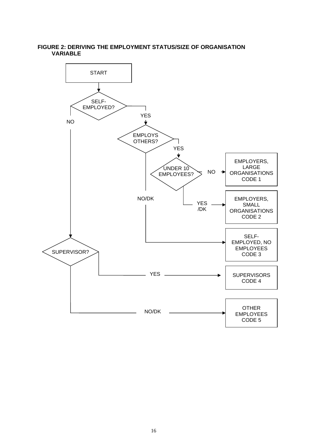#### **FIGURE 2: DERIVING THE EMPLOYMENT STATUS/SIZE OF ORGANISATION VARIABLE**

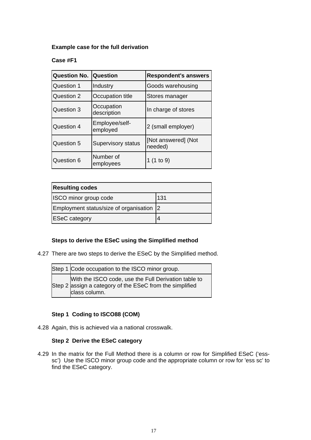# **Example case for the full derivation**

# **Case #F1**

| <b>Question No.</b>                  | Question                   | <b>Respondent's answers</b>    |  |  |
|--------------------------------------|----------------------------|--------------------------------|--|--|
| Question 1                           | Industry                   | Goods warehousing              |  |  |
| Question 2                           | Occupation title           | Stores manager                 |  |  |
| Question 3                           | Occupation<br>description  | In charge of stores            |  |  |
| Question 4                           | Employee/self-<br>employed | 2 (small employer)             |  |  |
| Question 5                           | Supervisory status         | [Not answered] (Not<br>needed) |  |  |
| Number of<br>Question 6<br>employees |                            | 1 $(1 to 9)$                   |  |  |

| <b>Resulting codes</b>                   |     |  |  |  |  |
|------------------------------------------|-----|--|--|--|--|
| ISCO minor group code                    | 131 |  |  |  |  |
| Employment status/size of organisation 2 |     |  |  |  |  |
| <b>ESeC</b> category                     |     |  |  |  |  |

# **Steps to derive the ESeC using the Simplified method**

4.27 There are two steps to derive the ESeC by the Simplified method.

| Step 1 Code occupation to the ISCO minor group.                                                                                   |
|-----------------------------------------------------------------------------------------------------------------------------------|
| With the ISCO code, use the Full Derivation table to<br>Step 2 assign a category of the ESeC from the simplified<br>class column. |

# **Step 1 Coding to ISCO88 (COM)**

4.28 Again, this is achieved via a national crosswalk.

# **Step 2 Derive the ESeC category**

4.29 In the matrix for the Full Method there is a column or row for Simplified ESeC ('esssc') Use the ISCO minor group code and the appropriate column or row for 'ess sc' to find the ESeC category.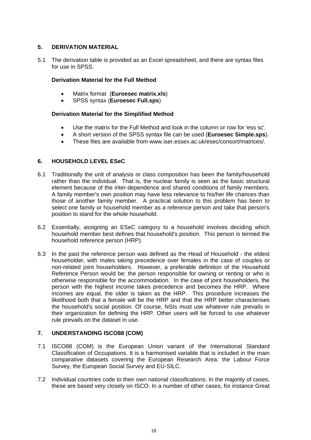# **5. DERIVATION MATERIAL**

5.1 The derivation table is provided as an Excel spreadsheet, and there are syntax files for use in SPSS.

# **Derivation Material for the Full Method**

- Matrix format (**Euroesec matrix.xls**)
- SPSS syntax (**Euroesec Full.sps**)

# **Derivation Material for the Simplified Method**

- Use the matrix for the Full Method and look in the column or row for 'ess sc'.
- A short version of the SPSS syntax file can be used (**Euroesec Simple.sps**).
- These files are available from www.iser.essex.ac.uk/esec/consort/matrices/.

# **6. HOUSEHOLD LEVEL ESeC**

- 6.1 Traditionally the unit of analysis or class composition has been the family/household rather than the individual. That is, the nuclear family is seen as the basic structural element because of the inter-dependence and shared conditions of family members. A family member's own position may have less relevance to his/her life chances than those of another family member. A practical solution to this problem has been to select one family or household member as a reference person and take that person's position to stand for the whole household.
- 6.2 Essentially, assigning an ESeC category to a household involves deciding which household member best defines that household's position. This person is termed the household reference person (HRP).
- 6.3 In the past the reference person was defined as the Head of Household the eldest householder, with males taking precedence over females in the case of couples or non-related joint householders. However, a preferable definition of the Household Reference Person would be: the person responsible for owning or renting or who is otherwise responsible for the accommodation. In the case of joint householders, the person with the highest income takes precedence and becomes the HRP. Where incomes are equal, the older is taken as the HRP. This procedure increases the likelihood both that a female will be the HRP and that the HRP better characterises the household's social position. Of course, NSIs must use whatever rule prevails in their organization for defining the HRP. Other users will be forced to use whatever rule prevails on the dataset in use.

# **7. UNDERSTANDING ISCO88 (COM)**

- 7.1 ISCO88 (COM) is the European Union variant of the International Standard Classification of Occupations. It is a harmonised variable that is included in the main comparative datasets covering the European Research Area: the Labour Force Survey, the European Social Survey and EU-SILC.
- 7.2 Individual countries code to their own national classifications. In the majority of cases, these are based very closely on ISCO. In a number of other cases, for instance Great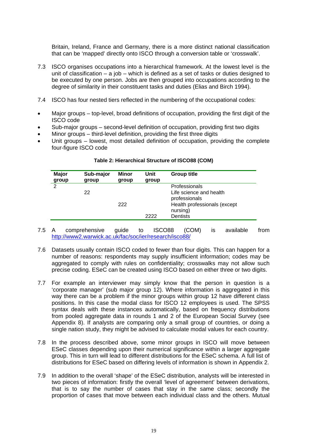Britain, Ireland, France and Germany, there is a more distinct national classification that can be 'mapped' directly onto ISCO through a conversion table or 'crosswalk'.

- 7.3 ISCO organises occupations into a hierarchical framework. At the lowest level is the unit of classification – a job – which is defined as a set of tasks or duties designed to be executed by one person. Jobs are then grouped into occupations according to the degree of similarity in their constituent tasks and duties (Elias and Birch 1994).
- 7.4 ISCO has four nested tiers reflected in the numbering of the occupational codes:
- Major groups top-level, broad definitions of occupation, providing the first digit of the ISCO code
- Sub-major groups second-level definition of occupation, providing first two digits
- Minor groups third-level definition, providing the first three digits
- Unit groups lowest, most detailed definition of occupation, providing the complete four-figure ISCO code

| Sub-major | Minor | Unit  | <b>Group title</b>           |
|-----------|-------|-------|------------------------------|
| group     | group | group |                              |
|           |       |       | Professionals                |
| 22        |       |       | Life science and health      |
|           |       |       | professionals                |
|           | 222   |       | Health professionals (except |
|           |       |       | nursing)                     |
|           |       | 2222  | <b>Dentists</b>              |
|           |       |       |                              |

#### **Table 2: Hierarchical Structure of ISCO88 (COM)**

- 7.5 A comprehensive guide to ISCO88 (COM) is available from http://www2.warwick.ac.uk/fac/soc/ier/research/isco88/
- 7.6 Datasets usually contain ISCO coded to fewer than four digits. This can happen for a number of reasons: respondents may supply insufficient information; codes may be aggregated to comply with rules on confidentiality; crosswalks may not allow such precise coding. ESeC can be created using ISCO based on either three or two digits.
- 7.7 For example an interviewer may simply know that the person in question is a 'corporate manager' (sub major group 12). Where information is aggregated in this way there can be a problem if the minor groups within group 12 have different class positions. In this case the modal class for ISCO 12 employees is used. The SPSS syntax deals with these instances automatically, based on frequency distributions from pooled aggregate data in rounds 1 and 2 of the European Social Survey (see Appendix 8). If analysts are comparing only a small group of countries, or doing a single nation study, they might be advised to calculate modal values for each country.
- 7.8 In the process described above, some minor groups in ISCO will move between ESeC classes depending upon their numerical significance within a larger aggregate group. This in turn will lead to different distributions for the ESeC schema. A full list of distributions for ESeC based on differing levels of information is shown in Appendix 2.
- 7.9 In addition to the overall 'shape' of the ESeC distribution, analysts will be interested in two pieces of information: firstly the overall 'level of agreement' between derivations, that is to say the number of cases that stay in the same class; secondly the proportion of cases that move between each individual class and the others. Mutual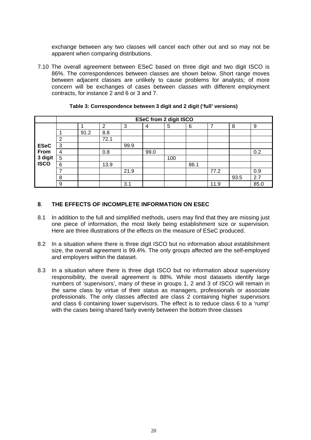exchange between any two classes will cancel each other out and so may not be apparent when comparing distributions.

7.10 The overall agreement between ESeC based on three digit and two digit ISCO is 86%. The correspondences between classes are shown below. Short range moves between adjacent classes are unlikely to cause problems for analysts; of more concern will be exchanges of cases between classes with different employment contracts, for instance 2 and 6 or 3 and 7.

|                 | <b>ESeC from 2 digit ISCO</b> |      |      |      |      |     |      |      |      |      |
|-----------------|-------------------------------|------|------|------|------|-----|------|------|------|------|
|                 |                               |      | 2    | 3    | 4    | 5   | 6    | ⇁    | 8    | 9    |
|                 |                               | 91.2 | 8.8  |      |      |     |      |      |      |      |
|                 | 2                             |      | 72.1 |      |      |     |      |      |      |      |
| <b>ESeC</b>     | 3                             |      |      | 99.9 |      |     |      |      |      |      |
| From            | 4                             |      | 0.8  |      | 99.0 |     |      |      |      | 0.2  |
| 3 digit<br>ISCO | 5                             |      |      |      |      | 100 |      |      |      |      |
|                 | 6                             |      | 13.9 |      |      |     | 86.1 |      |      |      |
|                 | ⇁                             |      |      | 21.9 |      |     |      | 77.2 |      | 0.9  |
|                 | 8                             |      |      |      |      |     |      |      | 93.5 | 2.7  |
|                 | 9                             |      |      | 3.1  |      |     |      | 11.9 |      | 85.0 |

**Table 3: Correspondence between 3 digit and 2 digit ('full' versions)** 

# **8**. **THE EFFECTS OF INCOMPLETE INFORMATION ON ESEC**

- 8.1 In addition to the full and simplified methods, users may find that they are missing just one piece of information, the most likely being establishment size or supervision. Here are three illustrations of the effects on the measure of ESeC produced.
- 8.2 In a situation where there is three digit ISCO but no information about establishment size, the overall agreement is 99.4%. The only groups affected are the self-employed and employers within the dataset.
- 8.3 In a situation where there is three digit ISCO but no information about supervisory responsibility, the overall agreement is 88%. While most datasets identify large numbers of 'supervisors', many of these in groups 1, 2 and 3 of ISCO will remain in the same class by virtue of their status as managers, professionals or associate professionals. The only classes affected are class 2 containing higher supervisors and class 6 containing lower supervisors. The effect is to reduce class 6 to a 'rump' with the cases being shared fairly evenly between the bottom three classes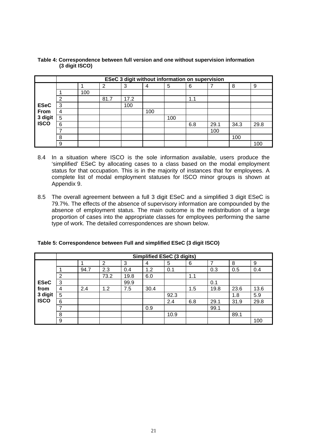|                                               | <b>ESeC 3 digit without information on supervision</b> |     |      |      |     |     |     |      |      |      |
|-----------------------------------------------|--------------------------------------------------------|-----|------|------|-----|-----|-----|------|------|------|
| <b>ESeC</b><br>From<br>3 digit<br><b>ISCO</b> |                                                        |     | 2    | 3    | 4   | 5   | 6   | 7    | 8    | 9    |
|                                               |                                                        | 100 |      |      |     |     |     |      |      |      |
|                                               | 2                                                      |     | 81.7 | 17.2 |     |     | 1.1 |      |      |      |
|                                               | 3                                                      |     |      | 100  |     |     |     |      |      |      |
|                                               | 4                                                      |     |      |      | 100 |     |     |      |      |      |
|                                               | 5                                                      |     |      |      |     | 100 |     |      |      |      |
|                                               | 6                                                      |     |      |      |     |     | 6.8 | 29.1 | 34.3 | 29.8 |
|                                               |                                                        |     |      |      |     |     |     | 100  |      |      |
|                                               | 8                                                      |     |      |      |     |     |     |      | 100  |      |
|                                               | 9                                                      |     |      |      |     |     |     |      |      | 100  |

#### **Table 4: Correspondence between full version and one without supervision information (3 digit ISCO)**

- 8.4 In a situation where ISCO is the sole information available, users produce the 'simplified' ESeC by allocating cases to a class based on the modal employment status for that occupation. This is in the majority of instances that for employees. A complete list of modal employment statuses for ISCO minor groups is shown at Appendix 9.
- 8.5 The overall agreement between a full 3 digit ESeC and a simplified 3 digit ESeC is 79.7%. The effects of the absence of supervisory information are compounded by the absence of employment status. The main outcome is the redistribution of a large proportion of cases into the appropriate classes for employees performing the same type of work. The detailed correspondences are shown below.

|                                               | Simplified ESeC (3 digits) |      |                |      |      |      |     |      |      |      |
|-----------------------------------------------|----------------------------|------|----------------|------|------|------|-----|------|------|------|
| <b>ESeC</b><br>from<br>3 digit<br><b>ISCO</b> |                            |      | $\overline{2}$ | 3    | 4    | 5    | 6   | 7    | 8    | 9    |
|                                               |                            | 94.7 | 2.3            | 0.4  | 1.2  | 0.1  |     | 0.3  | 0.5  | 0.4  |
|                                               | 2                          |      | 73.2           | 19.8 | 6.0  |      | 1.1 |      |      |      |
|                                               | 3                          |      |                | 99.9 |      |      |     | 0.1  |      |      |
|                                               | 4                          | 2.4  | 1.2            | 7.5  | 30.4 |      | 1.5 | 19.8 | 23.6 | 13.6 |
|                                               | 5                          |      |                |      |      | 92.3 |     |      | 1.8  | 5.9  |
|                                               | 6                          |      |                |      |      | 2.4  | 6.8 | 29.1 | 31.9 | 29.8 |
|                                               | ⇁                          |      |                |      | 0.9  |      |     | 99.1 |      |      |
|                                               | 8                          |      |                |      |      | 10.9 |     |      | 89.1 |      |
|                                               | 9                          |      |                |      |      |      |     |      |      | 100  |

| Table 5: Correspondence between Full and simplified ESeC (3 digit ISCO) |  |
|-------------------------------------------------------------------------|--|
|                                                                         |  |